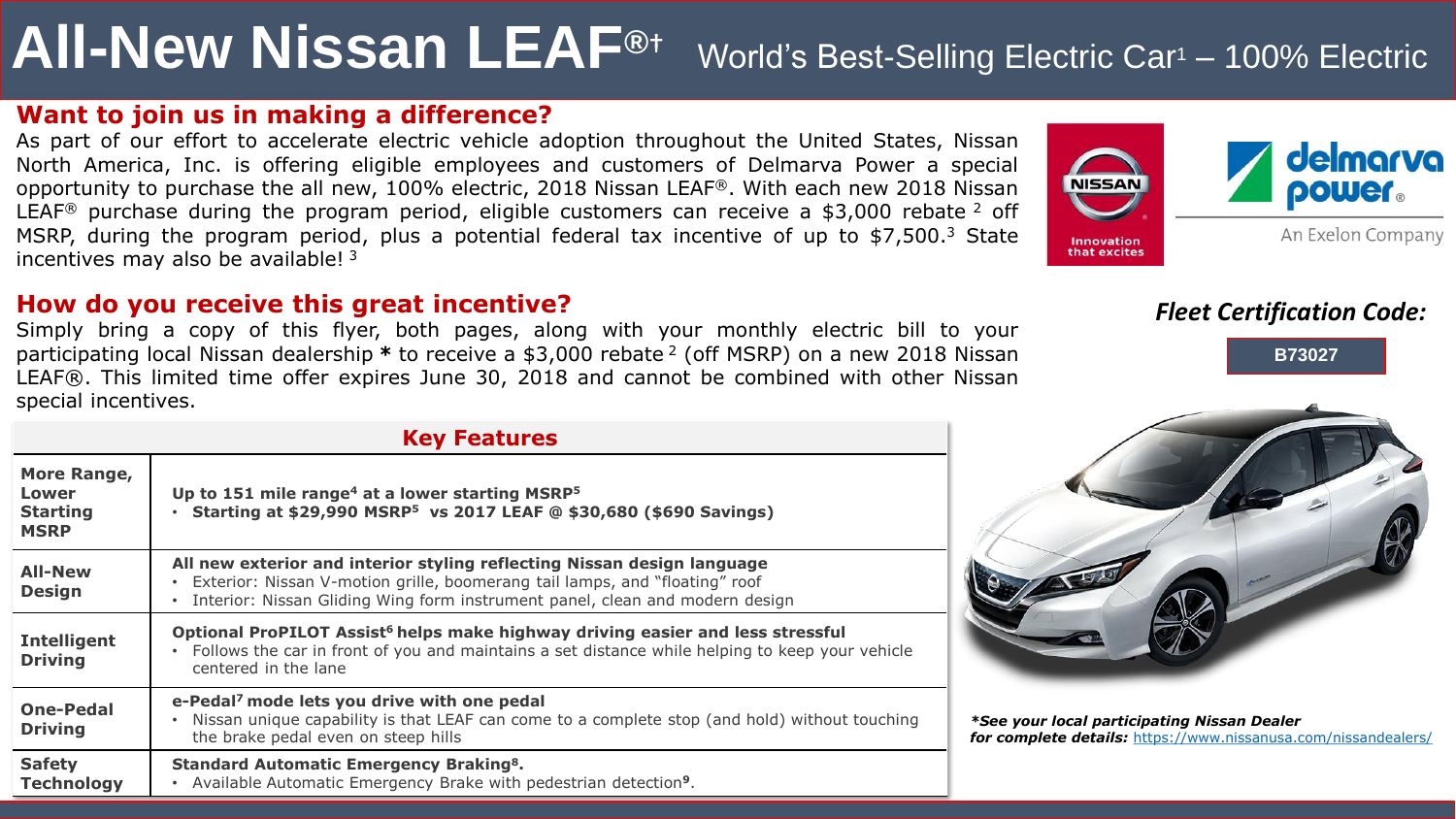# **All-New Nissan LEAF®**† World's Best-Selling Electric Car<sup>1</sup> – 100% Electric

### **Want to join us in making a difference?**

As part of our effort to accelerate electric vehicle adoption throughout the United States, Nissan North America, Inc. is offering eligible employees and customers of Delmarva Power a special opportunity to purchase the all new, 100% electric, 2018 Nissan LEAF®. With each new 2018 Nissan LEAF<sup>®</sup> purchase during the program period, eligible customers can receive a \$3,000 rebate  $2$  off MSRP, during the program period, plus a potential federal tax incentive of up to \$7,500.<sup>3</sup> State incentives may also be available!  $3$ 



Simply bring a copy of this flyer, both pages, along with your monthly electric bill to your participating local Nissan dealership *\** to receive a \$3,000 rebate <sup>2</sup> (off MSRP) on a new 2018 Nissan LEAF®. This limited time offer expires June 30, 2018 and cannot be combined with other Nissan special incentives.



## *Fleet Certification Code:*





*\*See your local participating Nissan Dealer for complete details:* <https://www.nissanusa.com/nissandealers/>

#### **Key Features**

| More Range,<br>Lower<br><b>Starting</b><br><b>MSRP</b> | Up to 151 mile range <sup>4</sup> at a lower starting MSRP <sup>5</sup><br>Starting at \$29,990 MSRP <sup>5</sup> vs 2017 LEAF @ \$30,680 (\$690 Savings)                                                                              |
|--------------------------------------------------------|----------------------------------------------------------------------------------------------------------------------------------------------------------------------------------------------------------------------------------------|
| <b>All-New</b><br><b>Design</b>                        | All new exterior and interior styling reflecting Nissan design language<br>Exterior: Nissan V-motion grille, boomerang tail lamps, and "floating" roof<br>Interior: Nissan Gliding Wing form instrument panel, clean and modern design |
| <b>Intelligent</b><br><b>Driving</b>                   | Optional ProPILOT Assist <sup>6</sup> helps make highway driving easier and less stressful<br>Follows the car in front of you and maintains a set distance while helping to keep your vehicle<br>centered in the lane                  |
| <b>One-Pedal</b><br><b>Driving</b>                     | e-Pedal <sup>7</sup> mode lets you drive with one pedal<br>Nissan unique capability is that LEAF can come to a complete stop (and hold) without touching<br>the brake pedal even on steep hills                                        |
| <b>Safety</b><br><b>Technology</b>                     | <b>Standard Automatic Emergency Braking<sup>8</sup>.</b><br>Available Automatic Emergency Brake with pedestrian detection <sup>9</sup> .                                                                                               |